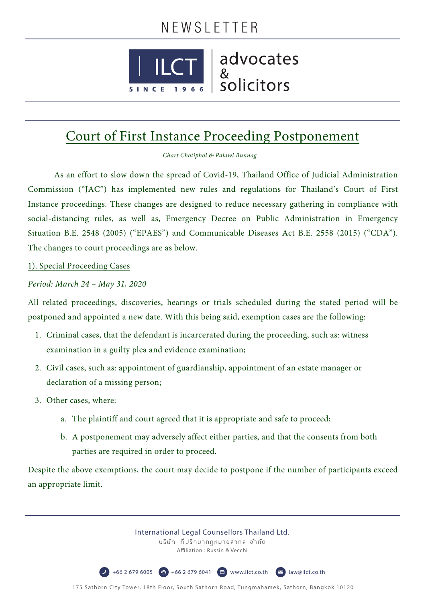## NEWSLETTER



 $\left|\begin{array}{c} \text{I} \\ \text{I} \\ \text{I} \\ \text{I} \\ \text{II} \end{array}\right|$  advocates

## Court of First Instance Proceeding Postponement

*Chart Chotiphol & Palawi Bunnag*

 As an effort to slow down the spread of Covid-19, Thailand Office of Judicial Administration Commission ("JAC") has implemented new rules and regulations for Thailand's Court of First Instance proceedings. These changes are designed to reduce necessary gathering in compliance with social-distancing rules, as well as, Emergency Decree on Public Administration in Emergency Situation B.E. 2548 (2005) ("EPAES") and Communicable Diseases Act B.E. 2558 (2015) ("CDA"). The changes to court proceedings are as below.

## 1). Special Proceeding Cases

## *Period: March 24 – May 31, 2020*

All related proceedings, discoveries, hearings or trials scheduled during the stated period will be postponed and appointed a new date. With this being said, exemption cases are the following:

- 1. Criminal cases, that the defendant is incarcerated during the proceeding, such as: witness examination in a guilty plea and evidence examination;
- 2. Civil cases, such as: appointment of guardianship, appointment of an estate manager or declaration of a missing person;
- 3. Other cases, where:
	- a. The plaintiff and court agreed that it is appropriate and safe to proceed;
	- b. A postponement may adversely affect either parties, and that the consents from both parties are required in order to proceed.

Despite the above exemptions, the court may decide to postpone if the number of participants exceed an appropriate limit.

> International Legal Counsellors Thailand Ltd. บริษัท ที่ปรึกษากฎหมายสากล จำกัด Affiliation : Russin & Vecchi